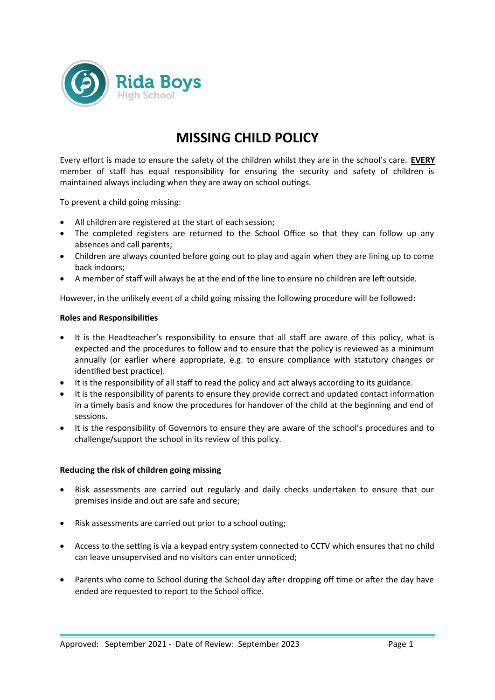

# **MISSING CHILD POLICY**

Every effort is made to ensure the safety of the children whilst they are in the school's care. **EVERY** member of staff has equal responsibility for ensuring the security and safety of children is maintained always including when they are away on school outings.

To prevent a child going missing:

- All children are registered at the start of each session;
- The completed registers are returned to the School Office so that they can follow up any absences and call parents;
- Children are always counted before going out to play and again when they are lining up to come back indoors;
- A member of staff will always be at the end of the line to ensure no children are left outside.

However, in the unlikely event of a child going missing the following procedure will be followed:

### **Roles and Responsibilities**

- It is the Headteacher's responsibility to ensure that all staff are aware of this policy, what is expected and the procedures to follow and to ensure that the policy is reviewed as a minimum annually (or earlier where appropriate, e.g. to ensure compliance with statutory changes or identified best practice).
- It is the responsibility of all staff to read the policy and act always according to its guidance.
- It is the responsibility of parents to ensure they provide correct and updated contact information in a timely basis and know the procedures for handover of the child at the beginning and end of sessions.
- It is the responsibility of Governors to ensure they are aware of the school's procedures and to challenge/support the school in its review of this policy.

### **Reducing the risk of children going missing**

- Risk assessments are carried out regularly and daily checks undertaken to ensure that our premises inside and out are safe and secure;
- Risk assessments are carried out prior to a school outing;
- Access to the setting is via a keypad entry system connected to CCTV which ensures that no child can leave unsupervised and no visitors can enter unnoticed;
- Parents who come to School during the School day after dropping off time or after the day have ended are requested to report to the School office.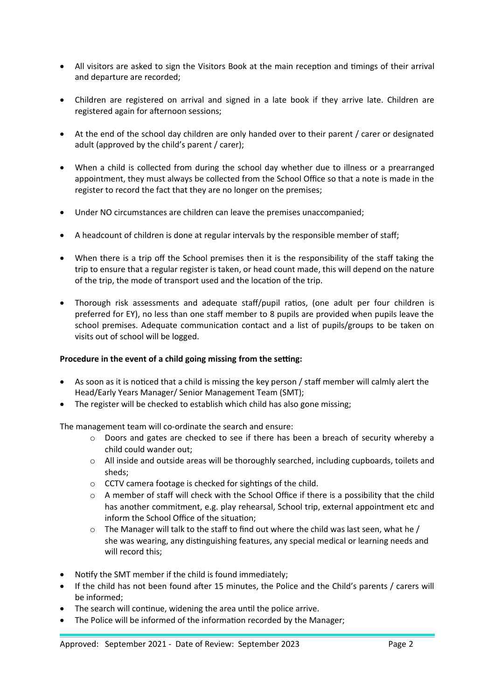- All visitors are asked to sign the Visitors Book at the main reception and timings of their arrival and departure are recorded;
- Children are registered on arrival and signed in a late book if they arrive late. Children are registered again for afternoon sessions;
- At the end of the school day children are only handed over to their parent / carer or designated adult (approved by the child's parent / carer);
- When a child is collected from during the school day whether due to illness or a prearranged appointment, they must always be collected from the School Office so that a note is made in the register to record the fact that they are no longer on the premises;
- Under NO circumstances are children can leave the premises unaccompanied;
- A headcount of children is done at regular intervals by the responsible member of staff;
- When there is a trip off the School premises then it is the responsibility of the staff taking the trip to ensure that a regular register is taken, or head count made, this will depend on the nature of the trip, the mode of transport used and the location of the trip.
- Thorough risk assessments and adequate staff/pupil ratios, (one adult per four children is preferred for EY), no less than one staff member to 8 pupils are provided when pupils leave the school premises. Adequate communication contact and a list of pupils/groups to be taken on visits out of school will be logged.

### **Procedure in the event of a child going missing from the setting:**

- As soon as it is noticed that a child is missing the key person / staff member will calmly alert the Head/Early Years Manager/ Senior Management Team (SMT);
- The register will be checked to establish which child has also gone missing;

The management team will co-ordinate the search and ensure:

- o Doors and gates are checked to see if there has been a breach of security whereby a child could wander out;
- o All inside and outside areas will be thoroughly searched, including cupboards, toilets and sheds;
- o CCTV camera footage is checked for sightings of the child.
- o A member of staff will check with the School Office if there is a possibility that the child has another commitment, e.g. play rehearsal, School trip, external appointment etc and inform the School Office of the situation;
- $\circ$  The Manager will talk to the staff to find out where the child was last seen, what he / she was wearing, any distinguishing features, any special medical or learning needs and will record this;
- Notify the SMT member if the child is found immediately;
- If the child has not been found after 15 minutes, the Police and the Child's parents / carers will be informed;
- The search will continue, widening the area until the police arrive.
- The Police will be informed of the information recorded by the Manager;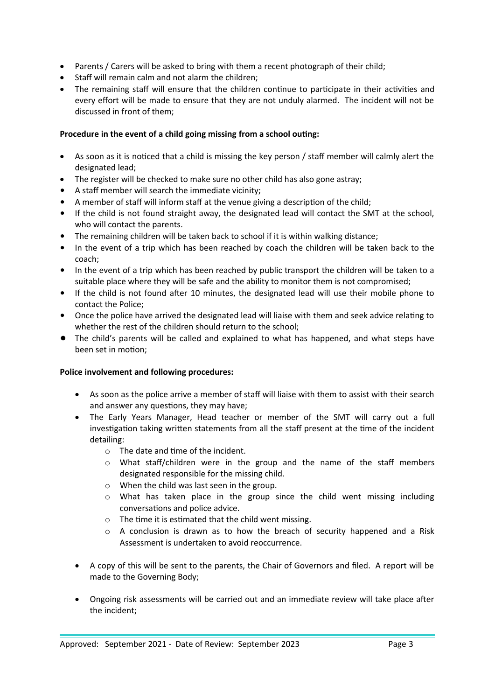- Parents / Carers will be asked to bring with them a recent photograph of their child;
- Staff will remain calm and not alarm the children;
- The remaining staff will ensure that the children continue to participate in their activities and every effort will be made to ensure that they are not unduly alarmed. The incident will not be discussed in front of them;

# **Procedure in the event of a child going missing from a school outing:**

- As soon as it is noticed that a child is missing the key person / staff member will calmly alert the designated lead;
- The register will be checked to make sure no other child has also gone astray;
- A staff member will search the immediate vicinity;
- A member of staff will inform staff at the venue giving a description of the child;
- If the child is not found straight away, the designated lead will contact the SMT at the school, who will contact the parents.
- The remaining children will be taken back to school if it is within walking distance;
- In the event of a trip which has been reached by coach the children will be taken back to the coach;
- In the event of a trip which has been reached by public transport the children will be taken to a suitable place where they will be safe and the ability to monitor them is not compromised;
- If the child is not found after 10 minutes, the designated lead will use their mobile phone to contact the Police;
- Once the police have arrived the designated lead will liaise with them and seek advice relating to whether the rest of the children should return to the school;
- **•** The child's parents will be called and explained to what has happened, and what steps have been set in motion;

# **Police involvement and following procedures:**

- As soon as the police arrive a member of staff will liaise with them to assist with their search and answer any questions, they may have;
- The Early Years Manager, Head teacher or member of the SMT will carry out a full investigation taking written statements from all the staff present at the time of the incident detailing:
	- o The date and time of the incident.
	- $\circ$  What staff/children were in the group and the name of the staff members designated responsible for the missing child.
	- o When the child was last seen in the group.
	- $\circ$  What has taken place in the group since the child went missing including conversations and police advice.
	- o The time it is estimated that the child went missing.
	- o A conclusion is drawn as to how the breach of security happened and a Risk Assessment is undertaken to avoid reoccurrence.
- A copy of this will be sent to the parents, the Chair of Governors and filed. A report will be made to the Governing Body;
- Ongoing risk assessments will be carried out and an immediate review will take place after the incident;